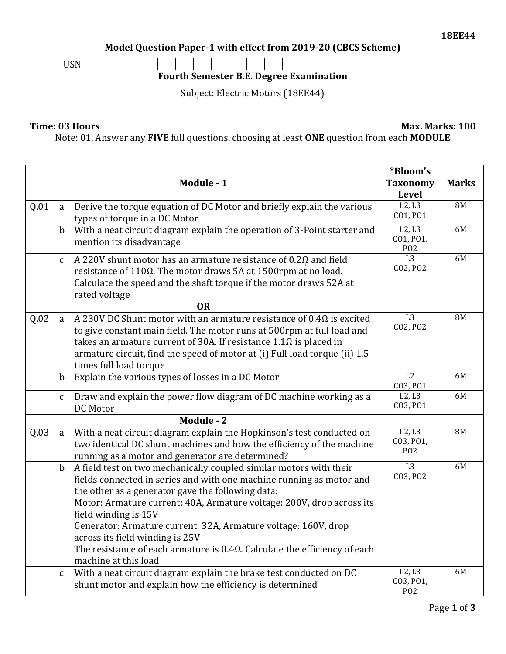**Model Question Paper-1 with effect from 2019-20 (CBCS Scheme)**



## **Fourth Semester B.E. Degree Examination**

Subject: Electric Motors (18EE44)

## **Time: 03 Hours Max. Marks: 100**

Note: 01. Answer any **FIVE** full questions, choosing at least **ONE** question from each **MODULE**

|            |              |                                                                                                                                                                                                                                                                                                                                                                                                                                                                                                                    | *Bloom's                                           |           |
|------------|--------------|--------------------------------------------------------------------------------------------------------------------------------------------------------------------------------------------------------------------------------------------------------------------------------------------------------------------------------------------------------------------------------------------------------------------------------------------------------------------------------------------------------------------|----------------------------------------------------|-----------|
| Module - 1 |              | <b>Taxonomy</b><br><b>Level</b>                                                                                                                                                                                                                                                                                                                                                                                                                                                                                    | <b>Marks</b>                                       |           |
| Q.01       | a            | Derive the torque equation of DC Motor and briefly explain the various<br>types of torque in a DC Motor                                                                                                                                                                                                                                                                                                                                                                                                            | L2, L3<br>CO1, PO1                                 | <b>8M</b> |
|            | b            | With a neat circuit diagram explain the operation of 3-Point starter and<br>mention its disadvantage                                                                                                                                                                                                                                                                                                                                                                                                               | L2, L3<br>CO1, PO1,<br>P <sub>O</sub> 2            | 6M        |
|            | $\mathbf c$  | A 220V shunt motor has an armature resistance of $0.2\Omega$ and field<br>resistance of 1100. The motor draws 5A at 1500rpm at no load.<br>Calculate the speed and the shaft torque if the motor draws 52A at<br>rated voltage                                                                                                                                                                                                                                                                                     | $\overline{L}3$<br>CO2, PO2                        | 6M        |
|            |              | <b>OR</b>                                                                                                                                                                                                                                                                                                                                                                                                                                                                                                          |                                                    |           |
| Q.02       | a            | A 230V DC Shunt motor with an armature resistance of $0.4\Omega$ is excited<br>to give constant main field. The motor runs at 500rpm at full load and<br>takes an armature current of 30A. If resistance $1.1\Omega$ is placed in<br>armature circuit, find the speed of motor at (i) Full load torque (ii) 1.5<br>times full load torque                                                                                                                                                                          | L3<br>CO2, PO2                                     | <b>8M</b> |
|            | $\mathbf b$  | Explain the various types of losses in a DC Motor                                                                                                                                                                                                                                                                                                                                                                                                                                                                  | L2<br>CO3, PO1                                     | 6M        |
|            | $\mathbf{C}$ | Draw and explain the power flow diagram of DC machine working as a<br>DC Motor                                                                                                                                                                                                                                                                                                                                                                                                                                     | L2, L3<br>CO3, PO1                                 | 6M        |
| Module - 2 |              |                                                                                                                                                                                                                                                                                                                                                                                                                                                                                                                    |                                                    |           |
| Q.03       | a            | With a neat circuit diagram explain the Hopkinson's test conducted on<br>two identical DC shunt machines and how the efficiency of the machine<br>running as a motor and generator are determined?                                                                                                                                                                                                                                                                                                                 | L2, L3<br>CO3, PO1,<br>P <sub>O</sub> <sub>2</sub> | <b>8M</b> |
|            | $\mathbf b$  | A field test on two mechanically coupled similar motors with their<br>fields connected in series and with one machine running as motor and<br>the other as a generator gave the following data:<br>Motor: Armature current: 40A, Armature voltage: 200V, drop across its<br>field winding is 15V<br>Generator: Armature current: 32A, Armature voltage: 160V, drop<br>across its field winding is 25V<br>The resistance of each armature is $0.4\Omega$ . Calculate the efficiency of each<br>machine at this load | L3<br>CO3, PO2                                     | 6M        |
|            | C            | With a neat circuit diagram explain the brake test conducted on DC<br>shunt motor and explain how the efficiency is determined                                                                                                                                                                                                                                                                                                                                                                                     | L2, L3<br>CO3, PO1,<br>P <sub>02</sub>             | 6M        |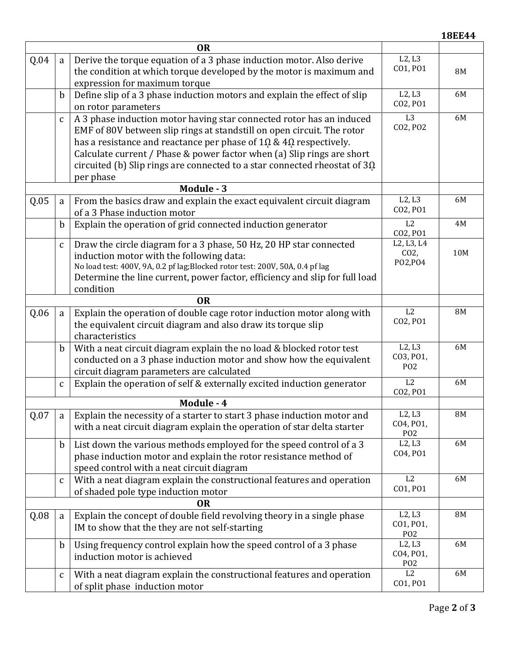| <b>OR</b> |              |                                                                                                           |                               |               |
|-----------|--------------|-----------------------------------------------------------------------------------------------------------|-------------------------------|---------------|
| Q.04      | a            | Derive the torque equation of a 3 phase induction motor. Also derive                                      | L2, L3<br>CO1, PO1            |               |
|           |              | the condition at which torque developed by the motor is maximum and                                       |                               | 8M            |
|           | $\mathbf b$  | expression for maximum torque<br>Define slip of a 3 phase induction motors and explain the effect of slip | L2, L3                        | 6M            |
|           |              | on rotor parameters                                                                                       | CO2, PO1                      |               |
|           | $\mathsf C$  | A 3 phase induction motor having star connected rotor has an induced                                      | L <sub>3</sub>                | 6M            |
|           |              | EMF of 80V between slip rings at standstill on open circuit. The rotor                                    | CO2, PO2                      |               |
|           |              | has a resistance and reactance per phase of $1\Omega$ & $4\Omega$ respectively.                           |                               |               |
|           |              | Calculate current / Phase & power factor when (a) Slip rings are short                                    |                               |               |
|           |              | circuited (b) Slip rings are connected to a star connected rheostat of $3\Omega$                          |                               |               |
|           |              | per phase                                                                                                 |                               |               |
|           |              | Module - 3                                                                                                |                               |               |
| Q.05      | a            | From the basics draw and explain the exact equivalent circuit diagram                                     | L2, L3<br>CO2, PO1            | 6M            |
|           |              | of a 3 Phase induction motor                                                                              | L2                            |               |
|           | $\mathbf b$  | Explain the operation of grid connected induction generator                                               | CO2, PO1                      | 4M            |
|           | $\mathsf C$  | Draw the circle diagram for a 3 phase, 50 Hz, 20 HP star connected                                        | L2, L3, L4                    |               |
|           |              | induction motor with the following data:                                                                  | CO <sub>2</sub>               | 10M           |
|           |              | No load test: 400V, 9A, 0.2 pf lag; Blocked rotor test: 200V, 50A, 0.4 pf lag                             | PO2, PO4                      |               |
|           |              | Determine the line current, power factor, efficiency and slip for full load                               |                               |               |
|           |              | condition                                                                                                 |                               |               |
|           |              | <b>OR</b>                                                                                                 | L2                            |               |
| Q.06      | a            | Explain the operation of double cage rotor induction motor along with                                     | CO2, PO1                      | 8M            |
|           |              | the equivalent circuit diagram and also draw its torque slip<br>characteristics                           |                               |               |
|           | $\mathbf b$  | With a neat circuit diagram explain the no load & blocked rotor test                                      | L2, L3                        | 6M            |
|           |              | conducted on a 3 phase induction motor and show how the equivalent                                        | CO3, PO1,                     |               |
|           |              | circuit diagram parameters are calculated                                                                 | P <sub>O</sub> <sub>2</sub>   |               |
|           | $\mathbf{C}$ | Explain the operation of self & externally excited induction generator                                    | L2                            | 6M            |
|           |              |                                                                                                           | CO2, PO1                      |               |
|           |              | Module - 4                                                                                                |                               |               |
| Q.07      | a            | Explain the necessity of a starter to start 3 phase induction motor and                                   | L2, L3<br>CO4, PO1,           | $8\mathrm{M}$ |
|           |              | with a neat circuit diagram explain the operation of star delta starter                                   | P <sub>O</sub> <sub>2</sub>   |               |
|           | b            | List down the various methods employed for the speed control of a 3                                       | L2, L3                        | 6M            |
|           |              | phase induction motor and explain the rotor resistance method of                                          | CO4, PO1                      |               |
|           |              | speed control with a neat circuit diagram                                                                 |                               |               |
|           | C            | With a neat diagram explain the constructional features and operation                                     | L2                            | 6M            |
|           |              | of shaded pole type induction motor                                                                       | CO1, PO1                      |               |
| <b>OR</b> |              |                                                                                                           |                               |               |
| Q.08      | a            | Explain the concept of double field revolving theory in a single phase                                    | L2, L3<br>CO1, PO1,           | <b>8M</b>     |
|           |              | IM to show that the they are not self-starting                                                            | P <sub>O</sub> <sub>2</sub>   |               |
|           | $\mathbf b$  | Using frequency control explain how the speed control of a 3 phase                                        | L2, L3                        | 6M            |
|           |              | induction motor is achieved                                                                               | CO4, PO1,<br>P <sub>0</sub> 2 |               |
|           | $\mathsf C$  | With a neat diagram explain the constructional features and operation                                     | L2                            | 6M            |
|           |              | of split phase induction motor                                                                            | CO1, PO1                      |               |